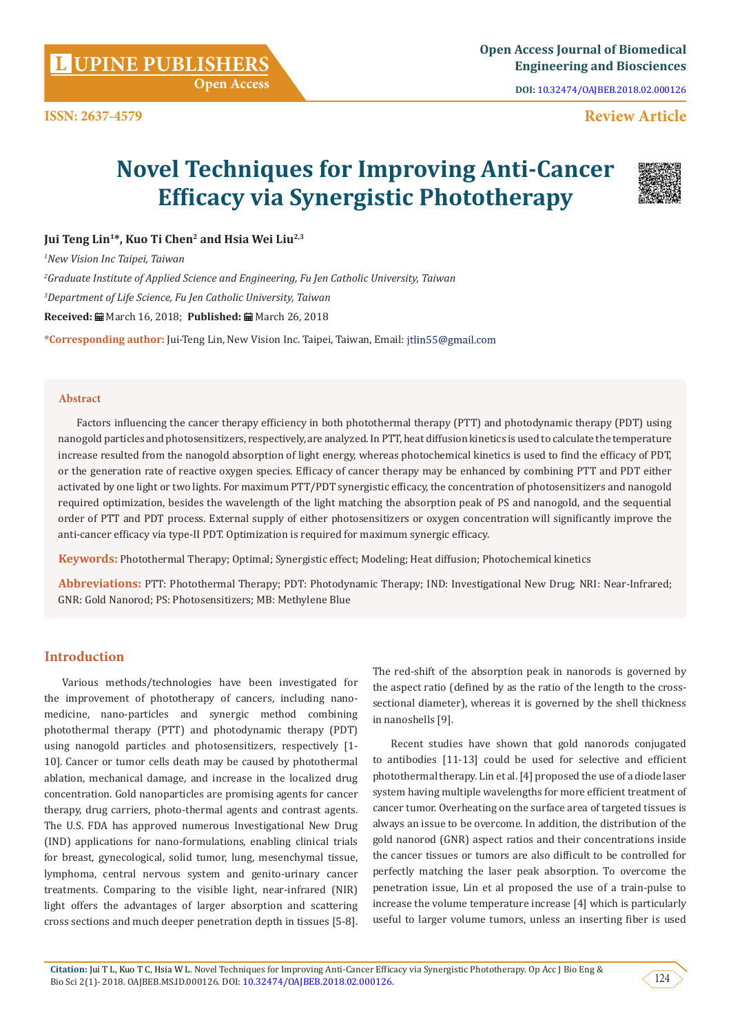**Citation:** Jui T L, Kuo T C, Hsia W L. Novel Techniques for Improving Anti-Cancer Efficacy via Synergistic Phototherapy. Op Acc J Bio Eng & Bio Sci 2(1)- 2018. OAJBEB.MS.ID.000126. DOI: [10.32474/OAJBEB.2018.02.000126](http://dx.doi.org/10.32474/OAJBEB.2018.02.000126
).

# **Open Access**

**ISSN: 2637-4579**

Factors influencing the cancer therapy efficiency in both photothermal therapy (PTT) and photodynamic therapy (PDT) using nanogold particles and photosensitizers, respectively, are analyzed. In PTT, heat diffusion kinetics is used to calculate the temperature increase resulted from the nanogold absorption of light energy, whereas photochemical kinetics is used to find the efficacy of PDT, or the generation rate of reactive oxygen species. Efficacy of cancer therapy may be enhanced by combining PTT and PDT either activated by one light or two lights. For maximum PTT/PDT synergistic efficacy, the concentration of photosensitizers and nanogold required optimization, besides the wavelength of the light matching the absorption peak of PS and nanogold, and the sequential order of PTT and PDT process. External supply of either photosensitizers or oxygen concentration will significantly improve the anti-cancer efficacy via type-II PDT. Optimization is required for maximum synergic efficacy.

**Keywords:** Photothermal Therapy; Optimal; Synergistic effect; Modeling; Heat diffusion; Photochemical kinetics

**Abbreviations:** PTT: Photothermal Therapy; PDT: Photodynamic Therapy; IND: Investigational New Drug; NRI: Near-Infrared; GNR: Gold Nanorod; PS: Photosensitizers; MB: Methylene Blue

# **Introduction**

Various methods/technologies have been investigated for the improvement of phototherapy of cancers, including nanomedicine, nano-particles and synergic method combining photothermal therapy (PTT) and photodynamic therapy (PDT) using nanogold particles and photosensitizers, respectively [1- 10]. Cancer or tumor cells death may be caused by photothermal ablation, mechanical damage, and increase in the localized drug concentration. Gold nanoparticles are promising agents for cancer therapy, drug carriers, photo-thermal agents and contrast agents. The U.S. FDA has approved numerous Investigational New Drug (IND) applications for nano-formulations, enabling clinical trials for breast, gynecological, solid tumor, lung, mesenchymal tissue, lymphoma, central nervous system and genito-urinary cancer treatments. Comparing to the visible light, near-infrared (NIR) light offers the advantages of larger absorption and scattering cross sections and much deeper penetration depth in tissues [5-8]. The red-shift of the absorption peak in nanorods is governed by the aspect ratio (defined by as the ratio of the length to the crosssectional diameter), whereas it is governed by the shell thickness in nanoshells [9].

Recent studies have shown that gold nanorods conjugated to antibodies [11-13] could be used for selective and efficient photothermal therapy. Lin et al. [4] proposed the use of a diode laser system having multiple wavelengths for more efficient treatment of cancer tumor. Overheating on the surface area of targeted tissues is always an issue to be overcome. In addition, the distribution of the gold nanorod (GNR) aspect ratios and their concentrations inside the cancer tissues or tumors are also difficult to be controlled for perfectly matching the laser peak absorption. To overcome the penetration issue, Lin et al proposed the use of a train-pulse to increase the volume temperature increase [4] which is particularly useful to larger volume tumors, unless an inserting fiber is used

# **Review Article**

# **Novel Techniques for Improving Anti-Cancer Efficacy via Synergistic Phototherapy**

**Jui Teng Lin1\*, Kuo Ti Chen2 and Hsia Wei Liu2,3**

*1 New Vision Inc Taipei, Taiwan 2 Graduate Institute of Applied Science and Engineering, Fu Jen Catholic University, Taiwan 3 Department of Life Science, Fu Jen Catholic University, Taiwan*  **Received:** March 16, 2018; **Published:** March 26, 2018 **\*Corresponding author:** Jui-Teng Lin, New Vision Inc. Taipei, Taiwan, Email:

## **Abstract**



**DOI:** [10.32474/OAJBEB.2018.02.000126](http://dx.doi.org/10.32474/OAJBEB.2018.02.000126
)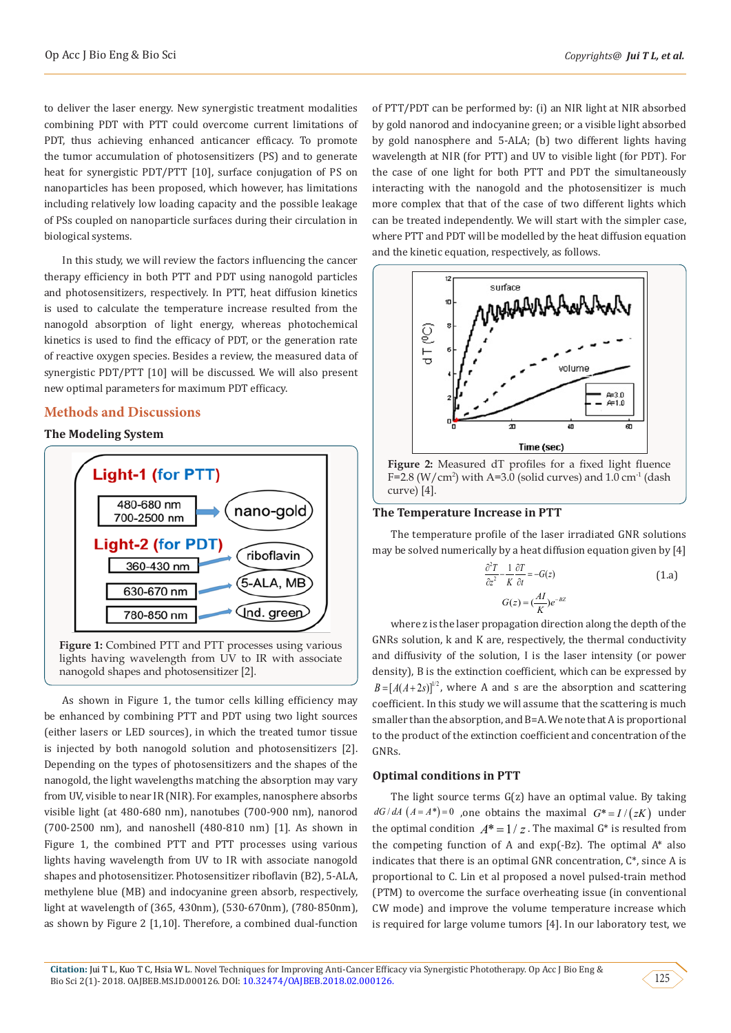to deliver the laser energy. New synergistic treatment modalities combining PDT with PTT could overcome current limitations of PDT, thus achieving enhanced anticancer efficacy. To promote the tumor accumulation of photosensitizers (PS) and to generate heat for synergistic PDT/PTT [10], surface conjugation of PS on nanoparticles has been proposed, which however, has limitations including relatively low loading capacity and the possible leakage of PSs coupled on nanoparticle surfaces during their circulation in biological systems.

In this study, we will review the factors influencing the cancer therapy efficiency in both PTT and PDT using nanogold particles and photosensitizers, respectively. In PTT, heat diffusion kinetics is used to calculate the temperature increase resulted from the nanogold absorption of light energy, whereas photochemical kinetics is used to find the efficacy of PDT, or the generation rate of reactive oxygen species. Besides a review, the measured data of synergistic PDT/PTT [10] will be discussed. We will also present new optimal parameters for maximum PDT efficacy.

# **Methods and Discussions**

## **The Modeling System**



As shown in Figure 1, the tumor cells killing efficiency may be enhanced by combining PTT and PDT using two light sources (either lasers or LED sources), in which the treated tumor tissue is injected by both nanogold solution and photosensitizers [2]. Depending on the types of photosensitizers and the shapes of the nanogold, the light wavelengths matching the absorption may vary from UV, visible to near IR (NIR). For examples, nanosphere absorbs visible light (at 480-680 nm), nanotubes (700-900 nm), nanorod (700-2500 nm), and nanoshell (480-810 nm) [1]. As shown in Figure 1, the combined PTT and PTT processes using various lights having wavelength from UV to IR with associate nanogold shapes and photosensitizer. Photosensitizer riboflavin (B2), 5-ALA, methylene blue (MB) and indocyanine green absorb, respectively, light at wavelength of (365, 430nm), (530-670nm), (780-850nm), as shown by Figure 2 [1,10]. Therefore, a combined dual-function

of PTT/PDT can be performed by: (i) an NIR light at NIR absorbed by gold nanorod and indocyanine green; or a visible light absorbed by gold nanosphere and 5-ALA; (b) two different lights having wavelength at NIR (for PTT) and UV to visible light (for PDT). For the case of one light for both PTT and PDT the simultaneously interacting with the nanogold and the photosensitizer is much more complex that that of the case of two different lights which can be treated independently. We will start with the simpler case, where PTT and PDT will be modelled by the heat diffusion equation and the kinetic equation, respectively, as follows.



 $F=2.8$  (W/cm<sup>2</sup>) with A=3.0 (solid curves) and 1.0 cm<sup>-1</sup> (dash curve) [4].

## **The Temperature Increase in PTT**

The temperature profile of the laser irradiated GNR solutions may be solved numerically by a heat diffusion equation given by [4]

$$
\frac{\partial^2 T}{\partial z^2} - \frac{1}{K} \frac{\partial T}{\partial t} = -G(z)
$$
\n
$$
G(z) = (\frac{AI}{K})e^{-BZ}
$$
\n(1.a)

where z is the laser propagation direction along the depth of the GNRs solution, k and K are, respectively, the thermal conductivity and diffusivity of the solution, I is the laser intensity (or power density), B is the extinction coefficient, which can be expressed by  $B = [A(A+2s)]^{1/2}$ , where A and s are the absorption and scattering coefficient. In this study we will assume that the scattering is much smaller than the absorption, and B=A. We note that A is proportional to the product of the extinction coefficient and concentration of the GNRs.

## **Optimal conditions in PTT**

The light source terms  $G(z)$  have an optimal value. By taking  $dG/dA$   $(A = A^*)=0$  , one obtains the maximal  $G^* = I/(zK)$  under the optimal condition  $A^* = 1/z$ . The maximal  $G^*$  is resulted from the competing function of A and  $exp(-Bz)$ . The optimal  $A^*$  also indicates that there is an optimal GNR concentration, C\*, since A is proportional to C. Lin et al proposed a novel pulsed-train method (PTM) to overcome the surface overheating issue (in conventional CW mode) and improve the volume temperature increase which is required for large volume tumors [4]. In our laboratory test, we

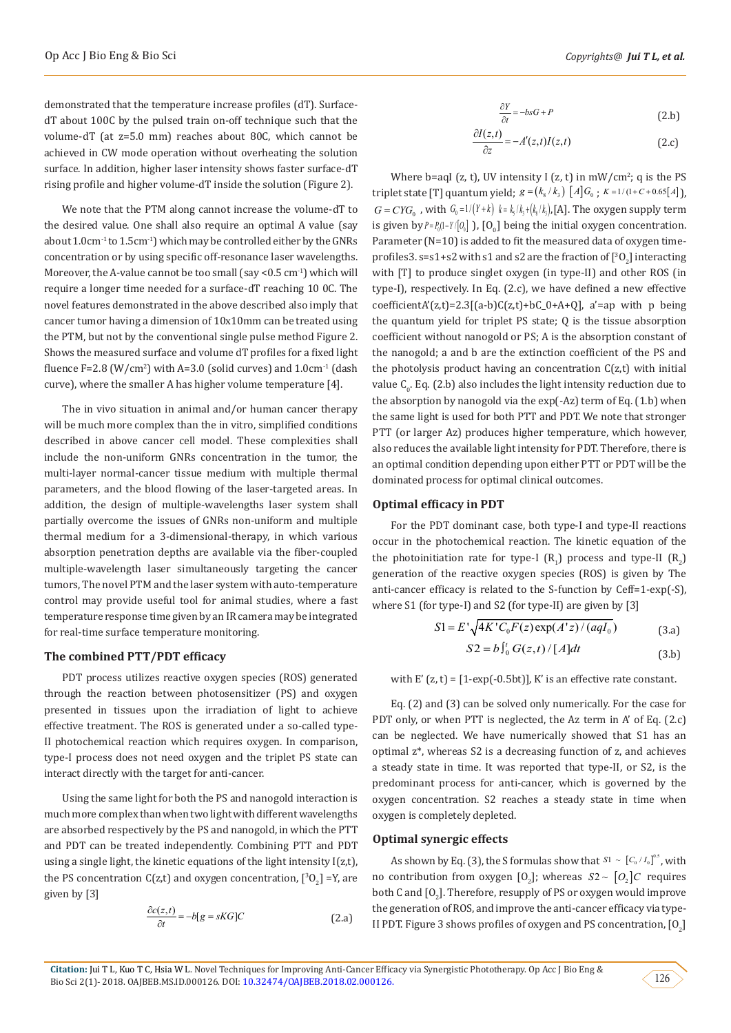demonstrated that the temperature increase profiles (dT). SurfacedT about 100C by the pulsed train on-off technique such that the volume-dT (at z=5.0 mm) reaches about 80C, which cannot be achieved in CW mode operation without overheating the solution surface. In addition, higher laser intensity shows faster surface-dT rising profile and higher volume-dT inside the solution (Figure 2).

We note that the PTM along cannot increase the volume-dT to the desired value. One shall also require an optimal A value (say about 1.0cm-1 to 1.5cm-1) which may be controlled either by the GNRs concentration or by using specific off-resonance laser wavelengths. Moreover, the A-value cannot be too small (say <0.5 cm<sup>-1</sup>) which will require a longer time needed for a surface-dT reaching 10 0C. The novel features demonstrated in the above described also imply that cancer tumor having a dimension of 10x10mm can be treated using the PTM, but not by the conventional single pulse method Figure 2. Shows the measured surface and volume dT profiles for a fixed light fluence F=2.8 (W/cm<sup>2</sup>) with A=3.0 (solid curves) and  $1.0 \text{cm}^{-1}$  (dash curve), where the smaller A has higher volume temperature [4].

The in vivo situation in animal and/or human cancer therapy will be much more complex than the in vitro, simplified conditions described in above cancer cell model. These complexities shall include the non-uniform GNRs concentration in the tumor, the multi-layer normal-cancer tissue medium with multiple thermal parameters, and the blood flowing of the laser-targeted areas. In addition, the design of multiple-wavelengths laser system shall partially overcome the issues of GNRs non-uniform and multiple thermal medium for a 3-dimensional-therapy, in which various absorption penetration depths are available via the fiber-coupled multiple-wavelength laser simultaneously targeting the cancer tumors, The novel PTM and the laser system with auto-temperature control may provide useful tool for animal studies, where a fast temperature response time given by an IR camera may be integrated for real-time surface temperature monitoring.

#### **The combined PTT/PDT efficacy**

PDT process utilizes reactive oxygen species (ROS) generated through the reaction between photosensitizer (PS) and oxygen presented in tissues upon the irradiation of light to achieve effective treatment. The ROS is generated under a so-called type-II photochemical reaction which requires oxygen. In comparison, type-I process does not need oxygen and the triplet PS state can interact directly with the target for anti-cancer.

Using the same light for both the PS and nanogold interaction is much more complex than when two light with different wavelengths are absorbed respectively by the PS and nanogold, in which the PTT and PDT can be treated independently. Combining PTT and PDT using a single light, the kinetic equations of the light intensity  $I(z,t)$ , the PS concentration C(z,t) and oxygen concentration,  $[{}^3O_2]$  =Y, are given by [3]

$$
\frac{\partial c(z,t)}{\partial t} = -b[g = sKG]C \tag{2.a}
$$

$$
\frac{\partial Y}{\partial t} = -bsG + P \tag{2.b}
$$

$$
\frac{\partial I(z,t)}{\partial z} = -A'(z,t)I(z,t)
$$
 (2.c)

Where b=aqI (z, t), UV intensity I (z, t) in  $\text{mW/cm}^2$ ; q is the PS triplet state [T] quantum yield;  $g = (k_8 / k_3) [A] G_0$ ;  $K = 1/(1 + C + 0.65[A])$ ,  $G = CYG_{\circ}$ , with  $G_{\circ} = 1/(Y+k)$   $k = k/k + (k/k)$ , [A]. The oxygen supply term is given by  $P = P_0(1 - Y / [O_0])$ ,  $[O_0]$  being the initial oxygen concentration. Parameter (N=10) is added to fit the measured data of oxygen timeprofiles3. s=s1+s2 with s1 and s2 are the fraction of  $[^{3}O_{2}]$  interacting with [T] to produce singlet oxygen (in type-II) and other ROS (in type-I), respectively. In Eq. (2.c), we have defined a new effective  $coefficientA'(z,t)=2.3[(a-b)C(z,t)+bC_0+A+Q]$ , a'=ap with p being the quantum yield for triplet PS state; Q is the tissue absorption coefficient without nanogold or PS; A is the absorption constant of the nanogold; a and b are the extinction coefficient of the PS and the photolysis product having an concentration  $C(z,t)$  with initial value  $\mathsf{C}_0$ . Eq. (2.b) also includes the light intensity reduction due to the absorption by nanogold via the exp(-Az) term of Eq. (1.b) when the same light is used for both PTT and PDT. We note that stronger PTT (or larger Az) produces higher temperature, which however, also reduces the available light intensity for PDT. Therefore, there is an optimal condition depending upon either PTT or PDT will be the dominated process for optimal clinical outcomes.

#### **Optimal efficacy in PDT**

For the PDT dominant case, both type-I and type-II reactions occur in the photochemical reaction. The kinetic equation of the the photoinitiation rate for type-I  $(R_1)$  process and type-II  $(R_2)$ generation of the reactive oxygen species (ROS) is given by The anti-cancer efficacy is related to the S-function by Ceff=1-exp(-S), where S1 (for type-I) and S2 (for type-II) are given by [3]

$$
S1 = E' \sqrt{4K' C_0 F(z) \exp(A'z) / (aqI_0)}
$$
 (3.a)

$$
S2 = b \int_0^t G(z, t) / [A] dt
$$
 (3.b)

with  $E'(z, t) = [1-exp(-0.5bt)]$ . K' is an effective rate constant.

Eq. (2) and (3) can be solved only numerically. For the case for PDT only, or when PTT is neglected, the Az term in A' of Eq. (2.c) can be neglected. We have numerically showed that S1 has an optimal z\*, whereas S2 is a decreasing function of z, and achieves a steady state in time. It was reported that type-II, or S2, is the predominant process for anti-cancer, which is governed by the oxygen concentration. S2 reaches a steady state in time when oxygen is completely depleted.

### **Optimal synergic effects**

As shown by Eq. (3), the S formulas show that  $S1 \sim [C_0 / I_0]^{0.5}$ , with no contribution from oxygen  $[0_2]$ ; whereas  $S2 \sim [O_2]C$  requires both C and  $[0<sub>2</sub>]$ . Therefore, resupply of PS or oxygen would improve the generation of ROS, and improve the anti-cancer efficacy via type-II PDT. Figure 3 shows profiles of oxygen and PS concentration,  $[0<sub>2</sub>]$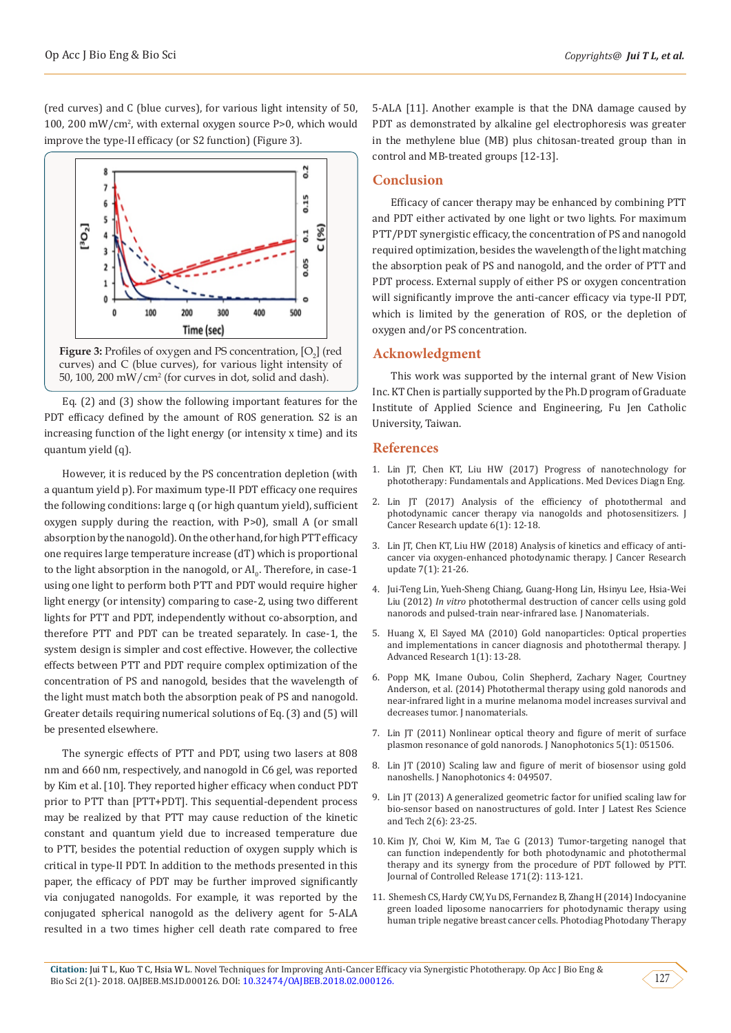(red curves) and C (blue curves), for various light intensity of 50, 100, 200 mW/cm<sup>2</sup> , with external oxygen source P>0, which would improve the type-II efficacy (or S2 function) (Figure 3).



curves) and C (blue curves), for various light intensity of 50, 100, 200 mW/cm<sup>2</sup> (for curves in dot, solid and dash).

Eq. (2) and (3) show the following important features for the PDT efficacy defined by the amount of ROS generation. S2 is an increasing function of the light energy (or intensity x time) and its quantum yield (q).

However, it is reduced by the PS concentration depletion (with a quantum yield p). For maximum type-II PDT efficacy one requires the following conditions: large q (or high quantum yield), sufficient oxygen supply during the reaction, with P>0), small A (or small absorption by the nanogold). On the other hand, for high PTT efficacy one requires large temperature increase (dT) which is proportional to the light absorption in the nanogold, or  $\mathrm{Al}_0$ . Therefore, in case-1 using one light to perform both PTT and PDT would require higher light energy (or intensity) comparing to case-2, using two different lights for PTT and PDT, independently without co-absorption, and therefore PTT and PDT can be treated separately. In case-1, the system design is simpler and cost effective. However, the collective effects between PTT and PDT require complex optimization of the concentration of PS and nanogold, besides that the wavelength of the light must match both the absorption peak of PS and nanogold. Greater details requiring numerical solutions of Eq. (3) and (5) will be presented elsewhere.

The synergic effects of PTT and PDT, using two lasers at 808 nm and 660 nm, respectively, and nanogold in C6 gel, was reported by Kim et al. [10]. They reported higher efficacy when conduct PDT prior to PTT than [PTT+PDT]. This sequential-dependent process may be realized by that PTT may cause reduction of the kinetic constant and quantum yield due to increased temperature due to PTT, besides the potential reduction of oxygen supply which is critical in type-II PDT. In addition to the methods presented in this paper, the efficacy of PDT may be further improved significantly via conjugated nanogolds. For example, it was reported by the conjugated spherical nanogold as the delivery agent for 5-ALA resulted in a two times higher cell death rate compared to free 5-ALA [11]. Another example is that the DNA damage caused by PDT as demonstrated by alkaline gel electrophoresis was greater in the methylene blue (MB) plus chitosan-treated group than in control and MB-treated groups [12-13].

## **Conclusion**

Efficacy of cancer therapy may be enhanced by combining PTT and PDT either activated by one light or two lights. For maximum PTT/PDT synergistic efficacy, the concentration of PS and nanogold required optimization, besides the wavelength of the light matching the absorption peak of PS and nanogold, and the order of PTT and PDT process. External supply of either PS or oxygen concentration will significantly improve the anti-cancer efficacy via type-II PDT, which is limited by the generation of ROS, or the depletion of oxygen and/or PS concentration.

## **Acknowledgment**

This work was supported by the internal grant of New Vision Inc. KT Chen is partially supported by the Ph.D program of Graduate Institute of Applied Science and Engineering, Fu Jen Catholic University, Taiwan.

## **References**

- 1. [Lin JT, Chen KT, Liu HW \(2017\) Progress of nanotechnology for](http://www.oatext.com/progress-of-nanotechnology-for-phototherapy-fundamentals-and-applications.php) [phototherapy: Fundamentals and Applications. Med Devices Diagn Eng.](http://www.oatext.com/progress-of-nanotechnology-for-phototherapy-fundamentals-and-applications.php)
- 2. [Lin JT \(2017\) Analysis of the efficiency of photothermal and](http://www.lifescienceglobal.com/pms/index.php/jcru/article/view/4392) [photodynamic cancer therapy via nanogolds and photosensitizers. J](http://www.lifescienceglobal.com/pms/index.php/jcru/article/view/4392) [Cancer Research update 6\(1\): 12-18.](http://www.lifescienceglobal.com/pms/index.php/jcru/article/view/4392)
- 3. [Lin JT, Chen KT, Liu HW \(2018\) Analysis of kinetics and efficacy of anti](http://www.lifescienceglobal.com/pms/index.php/jcru/article/view/5266)[cancer via oxygen-enhanced photodynamic therapy. J Cancer Research](http://www.lifescienceglobal.com/pms/index.php/jcru/article/view/5266) [update 7\(1\): 21-26.](http://www.lifescienceglobal.com/pms/index.php/jcru/article/view/5266)
- 4. [Jui-Teng Lin, Yueh-Sheng Chiang, Guang-Hong Lin, Hsinyu Lee, Hsia-Wei](https://www.hindawi.com/journals/jnm/2012/861385/) Liu (2012) *In vitro* [photothermal destruction of cancer cells using gold](https://www.hindawi.com/journals/jnm/2012/861385/) [nanorods and pulsed-train near-infrared lase. J Nanomaterials.](https://www.hindawi.com/journals/jnm/2012/861385/)
- 5. [Huang X, El Sayed MA \(2010\) Gold nanoparticles: Optical properties](https://www.sciencedirect.com/science/article/pii/S2090123210000056) [and implementations in cancer diagnosis and photothermal therapy. J](https://www.sciencedirect.com/science/article/pii/S2090123210000056) [Advanced Research 1\(1\): 13-28.](https://www.sciencedirect.com/science/article/pii/S2090123210000056)
- 6. [Popp MK, Imane Oubou, Colin Shepherd, Zachary Nager, Courtney](https://www.hindawi.com/journals/jnm/2014/450670/) [Anderson, et al. \(2014\) Photothermal therapy using gold nanorods and](https://www.hindawi.com/journals/jnm/2014/450670/) [near-infrared light in a murine melanoma model increases survival and](https://www.hindawi.com/journals/jnm/2014/450670/) [decreases tumor. J nanomaterials.](https://www.hindawi.com/journals/jnm/2014/450670/)
- 7. [Lin JT \(2011\) Nonlinear optical theory and figure of merit of surface](https://www.spiedigitallibrary.org/journals/Journal-of-Nanophotonics/volume-5/issue-1/051506/Nonlinear-optical-theory-and-figure-of-merit-of-surface-plasmon/10.1117/1.3543815.short?SSO=1) [plasmon resonance of gold nanorods. J Nanophotonics 5\(1\): 051506.](https://www.spiedigitallibrary.org/journals/Journal-of-Nanophotonics/volume-5/issue-1/051506/Nonlinear-optical-theory-and-figure-of-merit-of-surface-plasmon/10.1117/1.3543815.short?SSO=1)
- 8. Lin JT (2010) Scaling law and figure of merit of biosensor using gold nanoshells. J Nanophotonics 4: 049507.
- 9. [Lin JT \(2013\) A generalized geometric factor for unified scaling law for](http://www.mnkjournals.com/ijlrst_files/Download/vol%202%20Issue%206/5-20-30112013%20Jui-Teng%20Lin.pdf) [bio-sensor based on nanostructures of gold. Inter J Latest Res Science](http://www.mnkjournals.com/ijlrst_files/Download/vol%202%20Issue%206/5-20-30112013%20Jui-Teng%20Lin.pdf) [and Tech 2\(6\): 23-25.](http://www.mnkjournals.com/ijlrst_files/Download/vol%202%20Issue%206/5-20-30112013%20Jui-Teng%20Lin.pdf)
- 10. [Kim JY, Choi W, Kim M, Tae G \(2013\) Tumor-targeting nanogel that](https://www.ncbi.nlm.nih.gov/pubmed/23860187) [can function independently for both photodynamic and photothermal](https://www.ncbi.nlm.nih.gov/pubmed/23860187) [therapy and its synergy from the procedure of PDT followed by PTT.](https://www.ncbi.nlm.nih.gov/pubmed/23860187) [Journal of Controlled Release 171\(2\): 113-121.](https://www.ncbi.nlm.nih.gov/pubmed/23860187)
- 11. [Shemesh CS, Hardy CW, Yu DS, Fernandez B, Zhang H \(2014\) Indocyanine](https://www.ncbi.nlm.nih.gov/pubmed/24657627) [green loaded liposome nanocarriers for photodynamic therapy using](https://www.ncbi.nlm.nih.gov/pubmed/24657627) [human triple negative breast cancer cells. Photodiag Photodany Therapy](https://www.ncbi.nlm.nih.gov/pubmed/24657627)

127